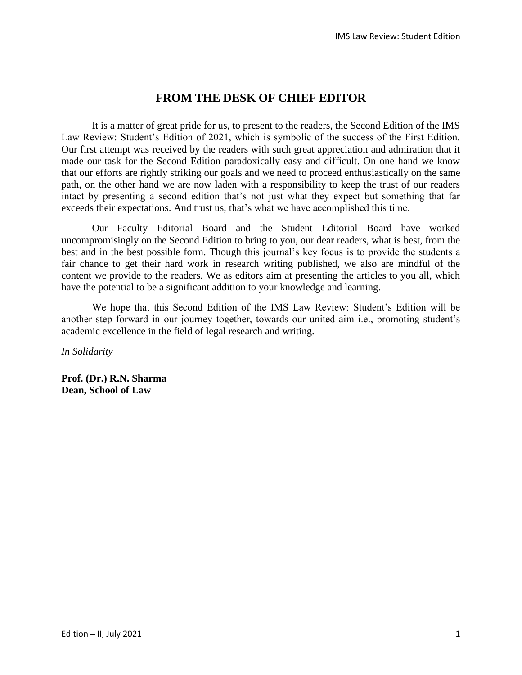## **FROM THE DESK OF CHIEF EDITOR**

It is a matter of great pride for us, to present to the readers, the Second Edition of the IMS Law Review: Student's Edition of 2021, which is symbolic of the success of the First Edition. Our first attempt was received by the readers with such great appreciation and admiration that it made our task for the Second Edition paradoxically easy and difficult. On one hand we know that our efforts are rightly striking our goals and we need to proceed enthusiastically on the same path, on the other hand we are now laden with a responsibility to keep the trust of our readers intact by presenting a second edition that's not just what they expect but something that far exceeds their expectations. And trust us, that's what we have accomplished this time.

Our Faculty Editorial Board and the Student Editorial Board have worked uncompromisingly on the Second Edition to bring to you, our dear readers, what is best, from the best and in the best possible form. Though this journal's key focus is to provide the students a fair chance to get their hard work in research writing published, we also are mindful of the content we provide to the readers. We as editors aim at presenting the articles to you all, which have the potential to be a significant addition to your knowledge and learning.

We hope that this Second Edition of the IMS Law Review: Student's Edition will be another step forward in our journey together, towards our united aim i.e., promoting student's academic excellence in the field of legal research and writing.

*In Solidarity*

**Prof. (Dr.) R.N. Sharma Dean, School of Law**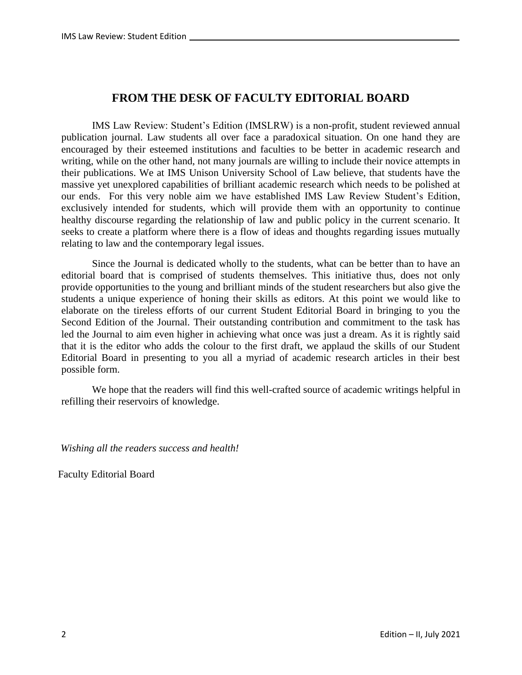## **FROM THE DESK OF FACULTY EDITORIAL BOARD**

IMS Law Review: Student's Edition (IMSLRW) is a non-profit, student reviewed annual publication journal. Law students all over face a paradoxical situation. On one hand they are encouraged by their esteemed institutions and faculties to be better in academic research and writing, while on the other hand, not many journals are willing to include their novice attempts in their publications. We at IMS Unison University School of Law believe, that students have the massive yet unexplored capabilities of brilliant academic research which needs to be polished at our ends. For this very noble aim we have established IMS Law Review Student's Edition, exclusively intended for students, which will provide them with an opportunity to continue healthy discourse regarding the relationship of law and public policy in the current scenario. It seeks to create a platform where there is a flow of ideas and thoughts regarding issues mutually relating to law and the contemporary legal issues.

Since the Journal is dedicated wholly to the students, what can be better than to have an editorial board that is comprised of students themselves. This initiative thus, does not only provide opportunities to the young and brilliant minds of the student researchers but also give the students a unique experience of honing their skills as editors. At this point we would like to elaborate on the tireless efforts of our current Student Editorial Board in bringing to you the Second Edition of the Journal. Their outstanding contribution and commitment to the task has led the Journal to aim even higher in achieving what once was just a dream. As it is rightly said that it is the editor who adds the colour to the first draft, we applaud the skills of our Student Editorial Board in presenting to you all a myriad of academic research articles in their best possible form.

We hope that the readers will find this well-crafted source of academic writings helpful in refilling their reservoirs of knowledge.

*Wishing all the readers success and health!* 

Faculty Editorial Board